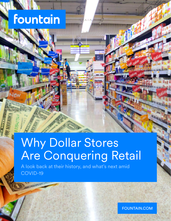# fountain

## Why Dollar Stores Are Conquering Retail

A look back at their history, and what's next amid COVID-19

FOUNTAIN.COM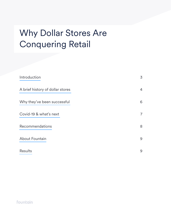## Why Dollar Stores Are Conquering Retail

| Introduction                     | 3              |
|----------------------------------|----------------|
| A brief history of dollar stores | 4              |
| Why they've been successful      | 6              |
| Covid-19 & what's next           | $\overline{7}$ |
| <b>Recommendations</b>           | 8              |
| <b>About Fountain</b>            | 9              |
| <b>Results</b>                   | 9              |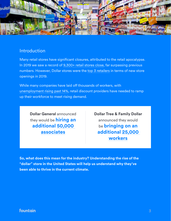

## Introduction

Many retail stores have significant closures, attributed to the retail apocalypse. In 2019 we saw a record of [9,300+ retail stores close](https://www.businessinsider.fr/us/stores-closing-in-2019-list-2019-3), far surpassing previous numbers. However, Dollar stores were the [top 3 retailers](https://www.emarketer.com/content/dollar-stores-continue-to-endure-the-retail-apocalypse-for-now) in terms of new store openings in 2019.

While many companies have laid off thousands of workers, with [unemployment rising past 14%](https://www.washingtonpost.com/gdpr-consent/?next_url=https%3a%2f%2fwww.washingtonpost.com%2fbusiness%2f2020%2f05%2f08%2fapril-2020-jobs-report%2f), retail discount providers have needed to ramp up their workforce to meet rising demand.

**Dollar General** announced they would be **hiring an additional [50,000](https://newscenter.dollargeneral.com/covid-19/dollar-general-to-hire-up-to-50000-new-employees-to-support-operations.htm)  [associates](https://newscenter.dollargeneral.com/covid-19/dollar-general-to-hire-up-to-50000-new-employees-to-support-operations.htm)**

**Dollar Tree & Family Dollar**  announced they would be **bringing on an additional [25,000](https://www.mychesco.com/a/news/business/employment/dollar-tree-family-dollar-to-hire-25000-associates-nationally-during-coronavirus-covid-19-pandemic/)  [workers](https://www.mychesco.com/a/news/business/employment/dollar-tree-family-dollar-to-hire-25000-associates-nationally-during-coronavirus-covid-19-pandemic/)**

**So, what does this mean for the industry? Understanding the rise of the "dollar" store in the United States will help us understand why they've been able to thrive in the current climate.**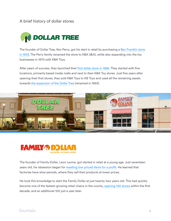## A brief history of dollar stores



The founder of Dollar Tree, Ken Perry, got his start in retail by purchasing a Ben Franklin store [in 1953.](https://www.dollartree.com/history) The Perry family renamed the store to K&K 5&10, while also expanding into the toy businesses in 1970 with K&K Toys.

After years of success, they launched their [first dollar store in 1986.](https://www.companieshistory.com/dollar-tree/) They started with five locations, primarily based inside malls and next to their K&K Toy stores. Just five years after opening their first stores, they sold K&K Toys to KB Toys and used all the remaining assets towards [the expansion of the Dollar Tree](https://www.dollartree.com/history) (renamed in 1993).





The founder of Family Dollar, Leon Levine, got started in retail at a young age. Just seventeen years old, his obsession began for [reselling low-priced items for a profit](https://www.ourstate.com/family-dollar/). He learned that factories have slow periods, where they sell their products at lower prices.

He took this knowledge to start the Family Dollar at just twenty-two years old. This had quickly become one of the fastest-growing retail chains in the county, [opening 100 stores](https://www.atlasobscura.com/articles/how-dollar-stores-were-planted-in-the-south-and-bloomed-around-the-us) within the first decade, and an additional 100 just a year later.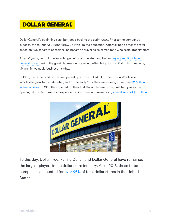## **DOLLAR GENERAL**

Dollar General's beginnings can be traced back to the early 1900s. Prior to the company's success, the founder J.L Turner grew up with limited education. After failing to enter the retail space on two separate occasions, he became a traveling salesman for a wholesale grocery store.

After 10 years, he took the knowledge he'd accumulated and began [buying and liquidating](https://newscenter.dollargeneral.com/company-facts/history/)  [general stores](https://newscenter.dollargeneral.com/company-facts/history/) during the great depression. He would often bring his son Cal to his meetings, giving him valuable business insights.

In 1939, the father-and-son team opened up a store called J.L Turner & Son Wholesale. Wholesale grew to include retail, and by the early '50s, they were doing more than \$2 Million [in annual sales](https://www.companieshistory.com/dollar-general/). In 1955 they opened up their first Dollar General store. Just two years after opening, J.L & Cal Turner had expanded to 29 stores and were doing [annual sales of \\$5 million](https://www.companieshistory.com/dollar-general/).



To this day, Dollar Tree, Family Dollar, and Dollar General have remained the largest players in the dollar store industry. As of 2018, these three companies accounted for [over 96%](https://www.statista.com/statistics/253398/number-of-dollar-stores-in-the-united-states/#:~:text=In%202018%2C%20there%20were%20a,stores%20throughout%20the%20United%20States.) of total dollar stores in the United States.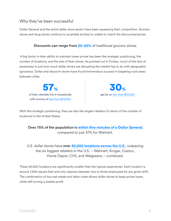## Why they've been successful

Dollar General and the entire dollar store sector have been squeezing their competition. Grocery stores and drug stores continue to scramble as they're unable to match the discounted prices.

#### **Discounts can range from [20-40%](https://www.businessinsider.fr/us/dollar-general-low-price-strategy-2018-8)** of traditional grocery stores

 A big factor in their ability to maintain lower prices has been the strategic positioning, the number of locations, and the size of their stores. As pointed out in Forbes, much of the lack of awareness in just how much dollar stores are disrupting the market has to do with geographic ignorance. Dollar and discount stores have found tremendous success in targeting rural areas between cities.

of their clientele live in households with income of [less than \\$49,900](https://fortune.com/longform/dollar-general-billions-revenue/) 57%



With this strategic positioning, they are also the largest retailers (in terms of the number of locations) in the United States.

**Over 75% of the population is [within five minutes of a Dollar General](https://www.businessinsider.fr/us/dollar-general-grows-compete-with-walmart-2018-12)**, compared to just 37% for Walmart.

U.S. dollar stores have **over [30,000 locations across the U.S](https://www.forbes.com/sites/warrenshoulberg/2018/07/22/are-dollar-stores-the-true-retail-disrupters/#512300b47a6e)**., outpacing the six biggest retailers in the U.S. – Walmart, Kroger, Costco, Home Depot, CVS, and Walgreens – combined.

These 30,000 locations are significantly smaller than the typical supercenter. Each location is around 7,500 square feet and only requires between two to three employees for any given shift. The combination of low real estate and labor costs allows dollar stores to keep prices lower, while still turning a sizable profit.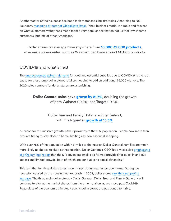Another factor of their success has been their merchandising strategies. According to Neil Saunders, [managing director of GlobalData Retail,](https://digiday.com/retail/savvy-operator-dollar-general-dominates-discount-retail-category/) "their business model is nimble and focused on what customers want; that's made them a very popular destination not just for low-income customers, but lots of other Americans."

Dollar stores on average have anywhere from **[10,000-12,000 products](https://www.businessinsider.fr/us/how-lidl-keeps-its-prices-down-2017-6)**, whereas a supercenter, such as Walmart, can have around 60,000 products.

#### COVID-19 and what's next

The [unprecedented spike in demand](https://progressivegrocer.com/dollar-tree-reports-stunning-covid-19-sales) for food and essential supplies due to COVID-19 is the root cause for these large dollar stores retailers needing to add an additional 75,000 workers. The 2020 sales numbers for dollar stores are astonishing.

> **Dollar General sales have [grown by 21.7%](https://retailwire.com/discussion/will-dollar-stores-be-the-biggest-post-covid-19-winners/)**, doubling the growth of both Walmart (10.0%) and Target (10.8%).

#### Dollar Tree and Family Dollar aren't far behind, with **first-quarter [growth at 15.5%](https://retailwire.com/discussion/will-dollar-stores-be-the-biggest-post-covid-19-winners/)**.

A reason for this massive growth is their proximity to the U.S. population. People now more than ever are trying to stay close to home, limiting any non-essential shopping.

With over 75% of the population within 5-miles to the nearest Dollar General, families are much more likely to choose to shop at that location. Dollar General's CEO Todd Vasos also [emphasized](https://www.fool.com/earnings/call-transcripts/2020/05/28/dollar-general-corporation-dg-q1-2020-earnings-cal.aspx)  [at a Q1 earnings report](https://www.fool.com/earnings/call-transcripts/2020/05/28/dollar-general-corporation-dg-q1-2020-earnings-cal.aspx) that their, "convenient small-box format [provides] for quick in and out access and limited crowds, both of which are conducive to social distancing."

This isn't the first time dollar stores have thrived during economic downturns. During the recession caused by the housing market crash in 2008, dollar stores [saw their net profits](https://fortune.com/2012/04/02/why-dollar-stores-are-thriving-even-post-recession/)  [increase.](https://fortune.com/2012/04/02/why-dollar-stores-are-thriving-even-post-recession/) The three main dollar stores - Dollar General, Dollar Tree, and Family General - will continue to pick at the market shares from the other retailers as we move past Covid-19. Regardless of the economic climate, it seems dollar stores are positioned to thrive.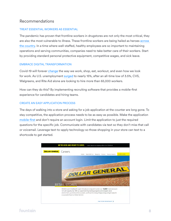## Recommendations

#### TREAT ESSENTIAL WORKERS AS ESSENTIAL

The pandemic has proven that frontline workers in drugstores are not only the most critical, they are also the most vulnerable to illness. These frontline workers are being hailed as heroes [across](https://marker.medium.com/america-is-about-to-witness-the-biggest-labor-movement-its-seen-in-decades-3aa47f0edf52)  [the country](https://marker.medium.com/america-is-about-to-witness-the-biggest-labor-movement-its-seen-in-decades-3aa47f0edf52). In a time where well-staffed, healthy employees are so important to maintaining operations and serving communities, companies need to take better care of their workers. Start by providing standard personal protective equipment, competitive wages, and sick leave.

#### EMBRACE DIGITAL TRANSFORMATION

Covid-19 will forever [change](https://www.pymnts.com/coronavirus/2020/the-10-ways-covid-19-has-changed-the-american-consumer/) the way we work, shop, eat, workout, and even how we look for work. As U.S. unemployment [surged](https://data.bls.gov/timeseries/LNS14000000) to nearly 15%, after an all-time low of 3.5%, CVS, Walgreens, and Rite Aid alone are looking to hire more than 65,000 workers.

How can they do this? By implementing recruiting software that provides a mobile-first experience for candidates and hiring teams.

#### CREATE AN EASY APPLICATION PROCESS

The days of walking into a store and asking for a job application at the counter are long gone. To stay competitive, the application process needs to be as easy as possible. Make the application [mobile-first](https://get.fountain.com/paid-enterprise?utm_medium=cpc&utm_source=google&utm_campaign=Brand&utm_adgroupid=57539873989&utm_term=fountain%20software&utm_content=&gclid=EAIaIQobChMIsrnz-Zmx6QIVloTICh12CAkIEAAYASAAEgKfePD_BwE) and don't require an account login. Limit the application to just the required questions for the specific job. Communicate with candidates via text so they don't miss that call or voicemail. Leverage text-to-apply technology so those shopping in your store can text to a shortcode to get started.